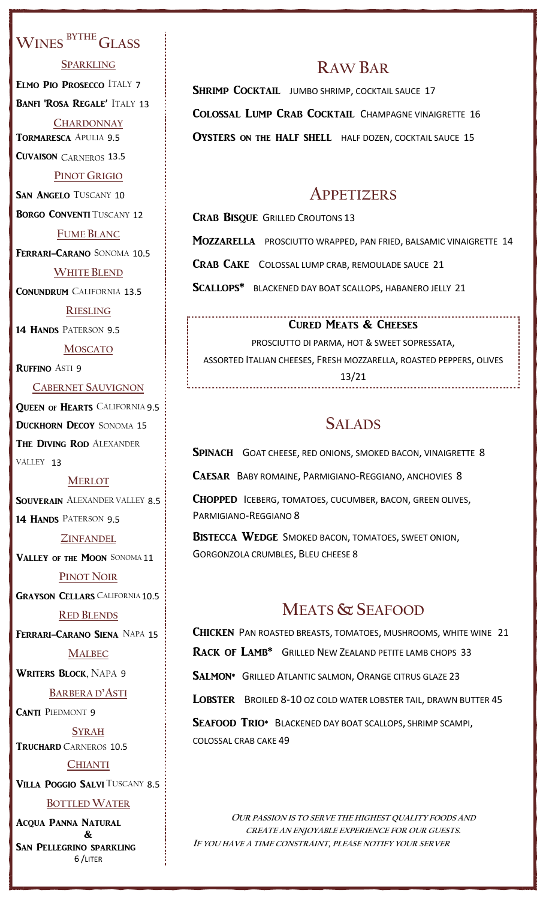## **WINES BYTHE GLASS**

**SPARKLING**

ELMO PIO PROSECCO ITALY 7

BANFI 'ROSA REGALE' ITALY 13

**CHARDONNAY** TORMARESCA APULIA 9.5 CUVAISON CARNEROS 13.5

**PINOT GRIGIO**

SAN ANGELO TUSCANY 10

**BORGO CONVENTI TUSCANY 12** 

**FUME BLANC**

FERRARI-CARANO SONOMA 10.5

**WHITE BLEND** CONUNDRUM CALIFORNIA 13.5

**RIESLING**

14 HANDS PATERSON 9.5

**MOSCATO** RUFFINO ASTI 9

**CABERNET SAUVIGNON**

QUEEN OF HEARTS CALIFORNIA 9.5 **DUCKHORN DECOY SONOMA 15** THE DIVING ROD ALEXANDER VALLEY 13

**MERLOT**

**SOUVERAIN** ALEXANDER VALLEY 8.5 14 HANDS PATERSON 9.5

**ZINFANDEL**

VALLEY OF THE MOON SONOMA 11

**PINOT NOIR**

**GRAYSON CELLARS CALIFORNIA 10.5** 

**RED BLENDS**

FERRARI-CARANO SIENA NAPA 15 **MALBEC**

WRITERS BLOCK, NAPA 9

**BARBERA D'ASTI**

CANTI PIEDMONT 9

**SYRAH** TRUCHARD CARNEROS 10.5

**CHIANTI** 

VILLA POGGIO SALVI TUSCANY 8.5

**BOTTLED WATER**

ACQUA PANNA NATURAL & SAN PELLEGRINO SPARKLING 6 /LITER

# **RAW BAR**

SHRIMP COCKTAIL JUMBO SHRIMP, COCKTAIL SAUCE 17 COLOSSAL LUMP CRAB COCKTAIL CHAMPAGNE VINAIGRETTE 16 OYSTERS ON THE HALF SHELL HALF DOZEN, COCKTAIL SAUCE 15

## **APPETIZERS**

CRAB BISQUE GRILLED CROUTONS 13

MOZZARELLA PROSCIUTTO WRAPPED, PAN FRIED, BALSAMIC VINAIGRETTE 14

CRAB CAKE COLOSSAL LUMP CRAB, REMOULADE SAUCE 21

SCALLOPS\* BLACKENED DAY BOAT SCALLOPS, HABANERO JELLY 21

### CURED MEATS & CHEESES

PROSCIUTTO DI PARMA, HOT & SWEET SOPRESSATA, ASSORTED ITALIAN CHEESES, FRESH MOZZARELLA, ROASTED PEPPERS, OLIVES 13/21

# **SALADS**

SPINACH GOAT CHEESE, RED ONIONS, SMOKED BACON, VINAIGRETTE 8

CAESAR BABY ROMAINE, PARMIGIANO-REGGIANO, ANCHOVIES 8

CHOPPED ICEBERG, TOMATOES, CUCUMBER, BACON, GREEN OLIVES, PARMIGIANO-REGGIANO 8

BISTECCA WEDGE SMOKED BACON, TOMATOES, SWEET ONION, GORGONZOLA CRUMBLES, BLEU CHEESE 8

# **MEATS & SEAFOOD**

CHICKEN PAN ROASTED BREASTS, TOMATOES, MUSHROOMS, WHITE WINE 21 RACK OF LAMB\* GRILLED NEW ZEALAND PETITE LAMB CHOPS 33 SALMON\* GRILLED ATLANTIC SALMON, ORANGE CITRUS GLAZE 23 LOBSTER BROILED 8-10 OZ COLD WATER LOBSTER TAIL, DRAWN BUTTER 45 SEAFOOD TRIO\* BLACKENED DAY BOAT SCALLOPS, SHRIMP SCAMPI, COLOSSAL CRAB CAKE 49

**OUR PASSION IS TO SERVE THE HIGHEST QUALITY FOODS AND CREATE AN ENJOYABLE EXPERIENCE FOR OUR GUESTS. IF YOU HAVE A TIME CONSTRAINT, PLEASE NOTIFY YOUR SERVER**